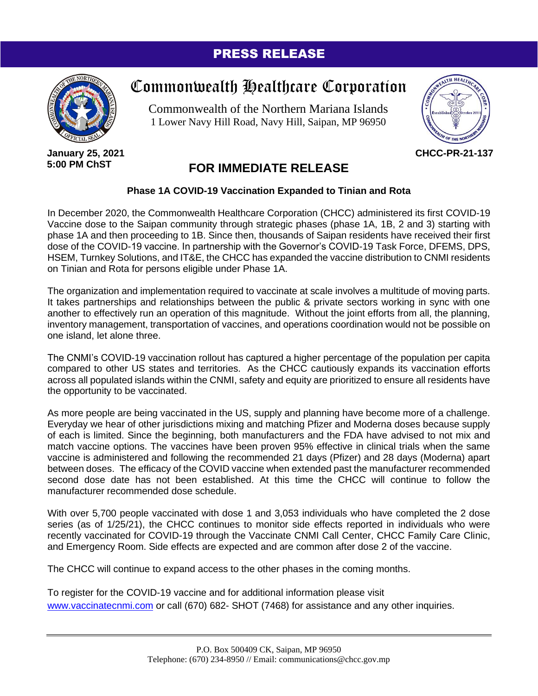## PRESS RELEASE



**January 25, 2021 5:00 PM ChST**

## Commonwealth Healthcare Corporation

Commonwealth of the Northern Mariana Islands 1 Lower Navy Hill Road, Navy Hill, Saipan, MP 96950



**CHCC-PR-21-137**

## **FOR IMMEDIATE RELEASE**

## **Phase 1A COVID-19 Vaccination Expanded to Tinian and Rota**

In December 2020, the Commonwealth Healthcare Corporation (CHCC) administered its first COVID-19 Vaccine dose to the Saipan community through strategic phases (phase 1A, 1B, 2 and 3) starting with phase 1A and then proceeding to 1B. Since then, thousands of Saipan residents have received their first dose of the COVID-19 vaccine. In partnership with the Governor's COVID-19 Task Force, DFEMS, DPS, HSEM, Turnkey Solutions, and IT&E, the CHCC has expanded the vaccine distribution to CNMI residents on Tinian and Rota for persons eligible under Phase 1A.

The organization and implementation required to vaccinate at scale involves a multitude of moving parts. It takes partnerships and relationships between the public & private sectors working in sync with one another to effectively run an operation of this magnitude. Without the joint efforts from all, the planning, inventory management, transportation of vaccines, and operations coordination would not be possible on one island, let alone three.

The CNMI's COVID-19 vaccination rollout has captured a higher percentage of the population per capita compared to other US states and territories. As the CHCC cautiously expands its vaccination efforts across all populated islands within the CNMI, safety and equity are prioritized to ensure all residents have the opportunity to be vaccinated.

As more people are being vaccinated in the US, supply and planning have become more of a challenge. Everyday we hear of other jurisdictions mixing and matching Pfizer and Moderna doses because supply of each is limited. Since the beginning, both manufacturers and the FDA have advised to not mix and match vaccine options. The vaccines have been proven 95% effective in clinical trials when the same vaccine is administered and following the recommended 21 days (Pfizer) and 28 days (Moderna) apart between doses. The efficacy of the COVID vaccine when extended past the manufacturer recommended second dose date has not been established. At this time the CHCC will continue to follow the manufacturer recommended dose schedule.

With over 5,700 people vaccinated with dose 1 and 3,053 individuals who have completed the 2 dose series (as of 1/25/21), the CHCC continues to monitor side effects reported in individuals who were recently vaccinated for COVID-19 through the Vaccinate CNMI Call Center, CHCC Family Care Clinic, and Emergency Room. Side effects are expected and are common after dose 2 of the vaccine.

The CHCC will continue to expand access to the other phases in the coming months.

To register for the COVID-19 vaccine and for additional information please visit [www.vaccinatecnmi.com](http://www.vaccinatecnmi.com/) or call (670) 682- SHOT (7468) for assistance and any other inquiries.